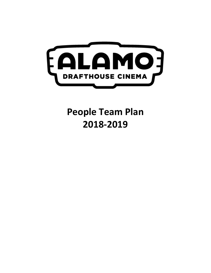

# **People Team Plan 2018-2019**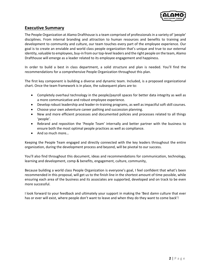

### **Executive Summary**

The People Organization at Alamo Drafthouse is a team comprised of professionals in a variety of 'people' disciplines. From internal branding and attraction to human resources and benefits to training and development to community and culture, our team touches every part of the employee experience. Our goal is to create an enviable and world class people organization that's unique and true to our external identity, valuable to employees, buy-in from our top-level leaders and the right people on the team, Alamo Drafthouse will emerge as a leader related to its employee engagement and happiness.

In order to build a best in class department, a solid structure and plan is needed. You'll find the recommendations for a comprehensive People Organization throughout this plan.

The first key component is building a diverse and dynamic team. Included, is a proposed organizational chart. Once the team framework is in place, the subsequent plans are to:

- Completely overhaul technology in the people/payroll spaces for better data integrity as well as a more communicative and robust employee experience.
- Develop robust leadership and leader-in-training programs, as well as impactful soft skill courses.
- Choose your own adventure career pathing and succession planning.
- New and more efficient processes and documented policies and processes related to all things 'people'.
- Rebrand and reposition the 'People Team' internally and better partner with the business to ensure both the most optimal people practices as well as compliance.
- And so much more…

Keeping the People Team engaged and directly connected with the key leaders throughout the entire organization, during the development process and beyond, will be pivotal to our success.

You'll also find throughout this document, ideas and recommendations for communication, technology, learning and development, comp & benefits, engagement, culture, community,

Because building a world class People Organization is everyone's goal, I feel confident that what's been recommended in this proposal, will get us to the finish line in the shortest amount of time possible, while ensuring each area of the business and its associates are supported, developed and on track to be even more successful.

I look forward to your feedback and ultimately your support in making the 'Best damn culture that ever has or ever will exist, where people don't want to leave and when they do they want to come back'!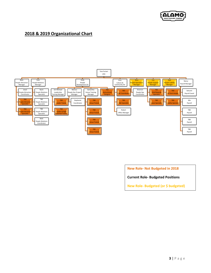

## **2018 & 2019 Organizational Chart**



**New Role- Not Budgeted in 2018**

**Current Role- Budgeted Positions**

**New Role- Budgeted (or \$ budgeted)**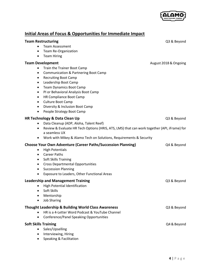

# **Initial Areas of Focus & Opportunities for Immediate Impact**

| <b>Team Restructuring</b><br><b>Team Assessment</b><br>Team Re-Organization<br>٠<br><b>Team Hiring</b><br>$\bullet$                                                                                                                                                                                                                                                                                                                                                         | Q3 & Beyond           |
|-----------------------------------------------------------------------------------------------------------------------------------------------------------------------------------------------------------------------------------------------------------------------------------------------------------------------------------------------------------------------------------------------------------------------------------------------------------------------------|-----------------------|
| <b>Team Development</b><br>Train the Trainer Boot Camp<br>$\bullet$<br><b>Communication &amp; Partnering Boot Camp</b><br>$\bullet$<br><b>Recruiting Boot Camp</b><br>٠<br>Leadership Boot Camp<br>$\bullet$<br><b>Team Dynamics Boot Camp</b><br>٠<br>PI or Behavioral Analysis Boot Camp<br>$\bullet$<br>HR Compliance Boot Camp<br>$\bullet$<br>Culture Boot Camp<br>$\bullet$<br>Diversity & Inclusion Boot Camp<br>$\bullet$<br>People Strategy Boot Camp<br>$\bullet$ | August 2018 & Ongoing |
| HR Technology & Data Clean Up<br>Data Cleanup (ADP, Aloha, Talent Reef)<br>$\bullet$<br>Review & Evaluate HR Tech Options (HRIS, ATS, LMS) that can work together (API, iFrame) for<br>$\bullet$<br>a seamless UX<br>Work with Mikey & Alamo Tech on Solutions, Requirements & Security<br>$\bullet$                                                                                                                                                                        | Q3 & Beyond           |
| <b>Choose Your Own Adventure (Career Paths/Succession Planning)</b><br><b>High Potentials</b><br>٠<br><b>Career Paths</b><br>$\bullet$<br>Soft Skills Training<br>$\bullet$<br><b>Cross Departmental Opportunities</b><br>$\bullet$<br><b>Succession Planning</b><br>$\bullet$<br>Exposure to Leaders, Other Functional Areas<br>$\bullet$                                                                                                                                  | Q4 & Beyond           |
| <b>Leadership and Management Training</b><br>High Potential Identification<br>Soft Skills<br>Mentorship<br><b>Job Sharing</b>                                                                                                                                                                                                                                                                                                                                               | Q3 & Beyond           |
| <b>Thought Leadership &amp; Building World Class Awareness</b><br>HR is a 4-Letter Word Podcast & YouTube Channel<br>Conference/Panel Speaking Opportunities<br>$\bullet$                                                                                                                                                                                                                                                                                                   | Q3 & Beyond           |
| <b>Soft Skills Training</b><br>Sales/Upselling<br>Interviewing, Hiring<br>$\bullet$<br>Speaking & Facilitation                                                                                                                                                                                                                                                                                                                                                              | Q4 & Beyond           |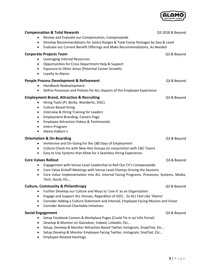

| <b>Compensation &amp; Total Rewards</b>                                                      | Q3 2018 & Beyond |
|----------------------------------------------------------------------------------------------|------------------|
| Review and Evaluate our Compensation, Companywide                                            |                  |
| Develop Recommendations for Salary Ranges & Total Comp Packages by Geo & Level<br>$\bullet$  |                  |
| Evaluate our Current Benefit Offerings and Make Recommendations, As Needed<br>$\bullet$      |                  |
| <b>Corporate Projects Team</b>                                                               | Q3 & Beyond      |
| Leveraging Internal Resources                                                                |                  |
| Opportunities for Cross Department Help & Support<br>$\bullet$                               |                  |
| Exposure to Other Areas (Potential Career Growth)<br>٠                                       |                  |
| Loyalty to Alamo                                                                             |                  |
| <b>People Process Development &amp; Refinement</b>                                           | Q3 & Beyond      |
| Handbook Redevelopment                                                                       |                  |
| Define Processes and Policies for ALL Aspects of the Employee Experience<br>$\bullet$        |                  |
| <b>Employment Brand, Attraction &amp; Recruiting</b>                                         | Q3 & Beyond      |
| Hiring Tools (PI, Berke, Wonderlic, DiSC)                                                    |                  |
| <b>Culture Based Hiring</b><br>$\bullet$                                                     |                  |
| Interview & Hiring Training for Leaders<br>$\bullet$                                         |                  |
| <b>Employment Branding, Careers Page</b><br>$\bullet$                                        |                  |
| <b>Employee Attraction Videos &amp; Testimonials</b><br>$\bullet$                            |                  |
| Intern Program<br>$\bullet$                                                                  |                  |
| Alamo Kidtern's<br>$\bullet$                                                                 |                  |
| <b>Orientation &amp; On-Boarding</b>                                                         | Q3 & Beyond      |
| Immersive and On-Going for the 180 Days of Employment                                        |                  |
| Culture Check-Ins with New Hire Groups (in conjunction with C&C Team)<br>٠                   |                  |
| Easy to Use Systems that Allow for a Seamless Hiring Experience<br>٠                         |                  |
| <b>Core Values Rollout</b>                                                                   | Q3 & Beyond      |
| Engagement with Venue Level Leadership to Roll Out CV's Companywide<br>$\bullet$             |                  |
| Core Value Kickoff Meetings with Venue Level Champs Driving the Sessions<br>$\bullet$        |                  |
| Core Value Implementation into ALL Internal Facing Programs, Processes, Systems, Media,<br>٠ |                  |
| Tech, Social, Etc                                                                            |                  |
| <b>Culture, Community &amp; Philanthropy</b>                                                 | Q3 & Beyond      |
| Further Develop our Culture and Ways to 'Live It' as an Organization                         |                  |
| Engage and Support ALL Venues, Regardless of GEO So ALL Feel Like 'Alamo'<br>٠               |                  |
| Consider Adding a Culture Statement and Internal, Employee Facing Mission and Vision<br>٠    |                  |
| <b>Consider National Charitable Initiatives</b><br>٠                                         |                  |
| <b>Social Engagement</b>                                                                     | Q4 & Beyond      |
| Setup Facebook Careers & Workplace Pages (Could Tie in w/ Info Portal)<br>٠                  |                  |
| Develop & Monitor on Glassdoor, Indeed, LinkedIn, Etc<br>٠                                   |                  |
| Setup, Develop & Monitor Attraction Based Twitter Instagram, SnapChat, Etc<br>٠              |                  |
| Setup Develop & Monitor Employee Facing Twitter, Instagram, SnaChat, Etc                     |                  |
| <b>Employee Related Hashtags</b>                                                             |                  |